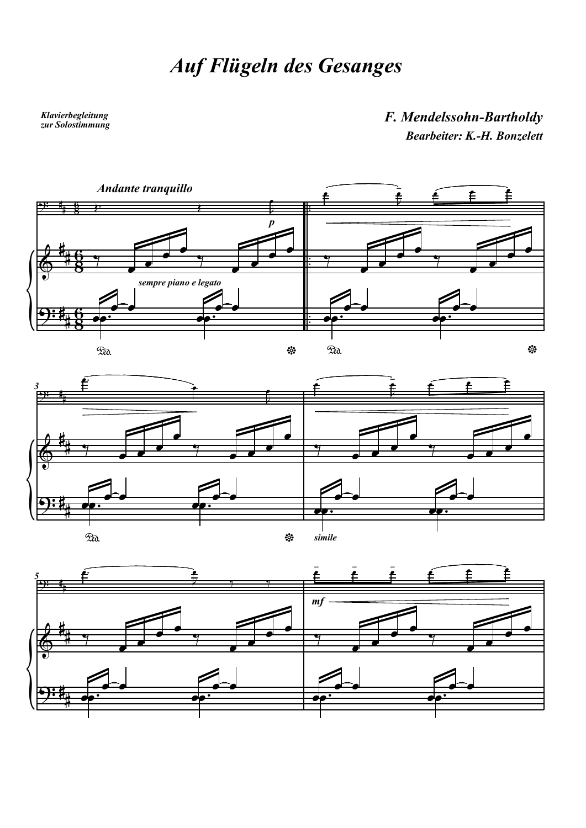Klavierbegleitung zur Solostimmung

F. Mendelssohn-Bartholdy Bearbeiter: K.-H. Bonzelett





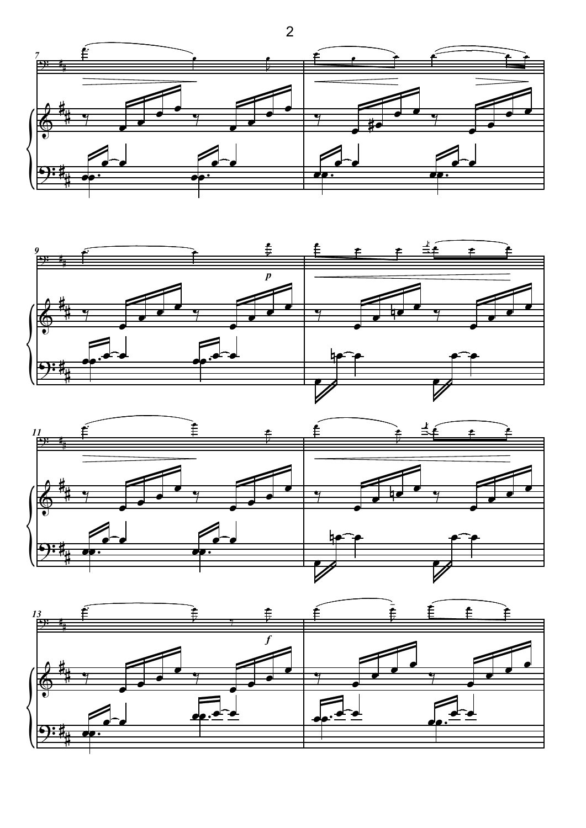







2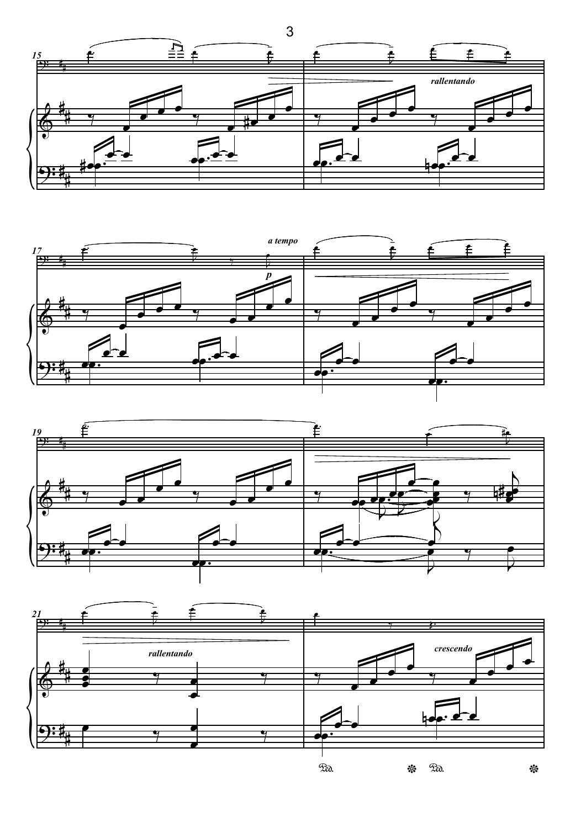





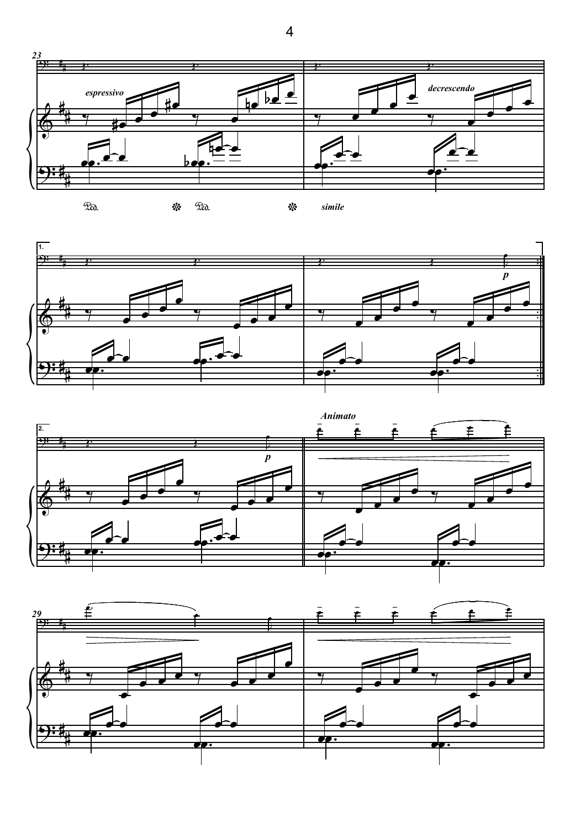





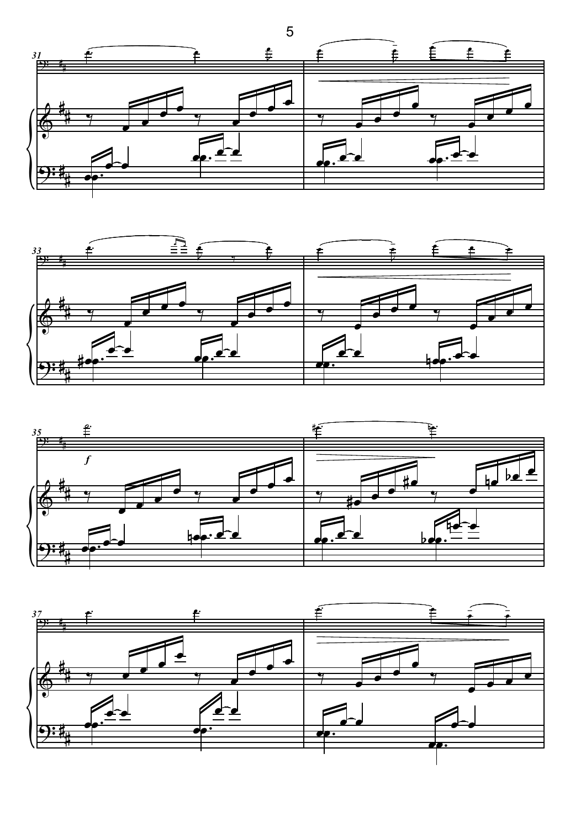







5